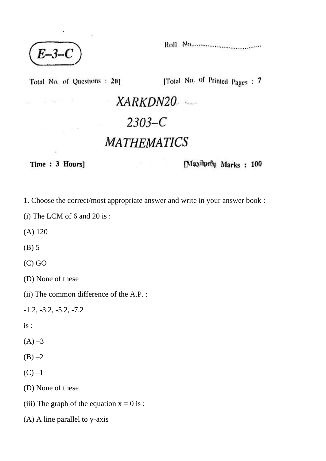$E-3-C$ 

spille and the

 $-12.80$ 

Total No. of Questions : 201 [Total No. of Printed Pages : 7

XARKDN20  $2303 - C$ **MATHEMATICS** 

Time: 3 Hours]

ġ,

[Maximum Marks: 100

1. Choose the correct/most appropriate answer and write in your answer book :

(i) The LCM of 6 and 20 is :

(A) 120

(B) 5

(C) GO

(D) None of these

(ii) The common difference of the A.P. :

-1.2, -3.2, -5.2, -7.2

is :

 $(A) -3$ 

 $(B) -2$ 

 $(C) -1$ 

(D) None of these

(iii) The graph of the equation  $x = 0$  is :

(A) A line parallel to y-axis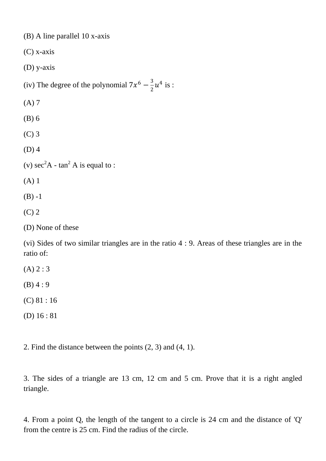(B) A line parallel 10 x-axis

(C) x-axis

(D) y-axis

(iv) The degree of the polynomial  $7x^6 - \frac{3}{3}$  $\frac{3}{2}u^4$  is :

(A) 7

(B) 6

(C) 3

(D) 4

(v)  $\sec^2 A - \tan^2 A$  is equal to :

(A) 1

 $(B) -1$ 

(C) 2

(D) None of these

(vi) Sides of two similar triangles are in the ratio 4 : 9. Areas of these triangles are in the ratio of:

 $(A) 2 : 3$ 

 $(B)$  4 : 9

(C) 81 : 16

(D) 16 : 81

2. Find the distance between the points (2, 3) and (4, 1).

3. The sides of a triangle are 13 cm, 12 cm and 5 cm. Prove that it is a right angled triangle.

4. From a point Q, the length of the tangent to a circle is 24 cm and the distance of 'Q' from the centre is 25 cm. Find the radius of the circle.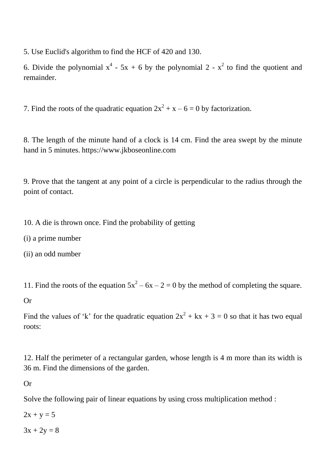5. Use Euclid's algorithm to find the HCF of 420 and 130.

6. Divide the polynomial  $x^4 - 5x + 6$  by the polynomial 2 -  $x^2$  to find the quotient and remainder.

7. Find the roots of the quadratic equation  $2x^2 + x - 6 = 0$  by factorization.

8. The length of the minute hand of a clock is 14 cm. Find the area swept by the minute hand in 5 minutes. https://www.jkboseonline.com

9. Prove that the tangent at any point of a circle is perpendicular to the radius through the point of contact.

10. A die is thrown once. Find the probability of getting

(i) a prime number

(ii) an odd number

11. Find the roots of the equation  $5x^2 - 6x - 2 = 0$  by the method of completing the square.

Or

Find the values of 'k' for the quadratic equation  $2x^2 + kx + 3 = 0$  so that it has two equal roots:

12. Half the perimeter of a rectangular garden, whose length is 4 m more than its width is 36 m. Find the dimensions of the garden.

Or

Solve the following pair of linear equations by using cross multiplication method :

 $2x + y = 5$ 

 $3x + 2y = 8$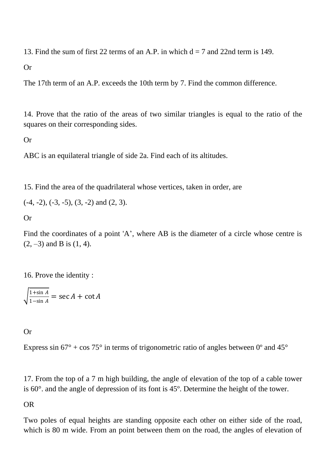13. Find the sum of first 22 terms of an A.P. in which  $d = 7$  and 22nd term is 149.

Or

The 17th term of an A.P. exceeds the 10th term by 7. Find the common difference.

14. Prove that the ratio of the areas of two similar triangles is equal to the ratio of the squares on their corresponding sides.

Or

ABC is an equilateral triangle of side 2a. Find each of its altitudes.

15. Find the area of the quadrilateral whose vertices, taken in order, are

 $(-4, -2), (-3, -5), (3, -2)$  and  $(2, 3)$ .

Or

Find the coordinates of a point 'A', where AB is the diameter of a circle whose centre is  $(2, -3)$  and B is  $(1, 4)$ .

16. Prove the identity :

 $\frac{1+\sin A}{1+\sin A}$  $\frac{1+\sin A}{1-\sin A} = \sec A + \cot A$ 

Or

Express sin  $67^{\circ}$  + cos  $75^{\circ}$  in terms of trigonometric ratio of angles between  $0^{\circ}$  and  $45^{\circ}$ 

17. From the top of a 7 m high building, the angle of elevation of the top of a cable tower is 60°. and the angle of depression of its font is 45º. Determine the height of the tower.

## OR

Two poles of equal heights are standing opposite each other on either side of the road, which is 80 m wide. From an point between them on the road, the angles of elevation of